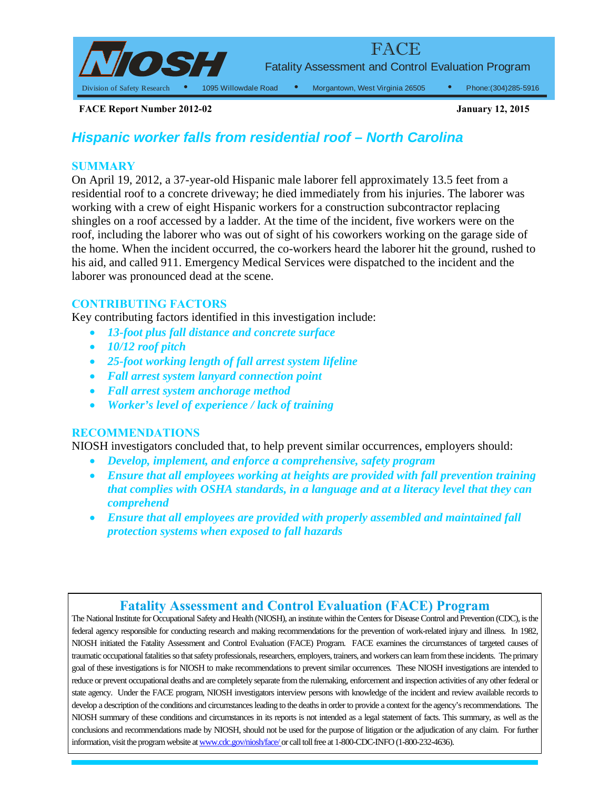

1095 Willowdale Road • Morgantown, West Virginia 26505 • Phone:(304)285-5916

**FACE Report Number 2012-02** 

# *Hispanic worker falls from residential roof – North Carolina*

## **SUMMARY**

 residential roof to a concrete driveway; he died immediately from his injuries. The laborer was shingles on a roof accessed by a ladder. At the time of the incident, five workers were on the On April 19, 2012, a 37-year-old Hispanic male laborer fell approximately 13.5 feet from a working with a crew of eight Hispanic workers for a construction subcontractor replacing roof, including the laborer who was out of sight of his coworkers working on the garage side of the home. When the incident occurred, the co-workers heard the laborer hit the ground, rushed to his aid, and called 911. Emergency Medical Services were dispatched to the incident and the laborer was pronounced dead at the scene.

## **CONTRIBUTING FACTORS**

Key contributing factors identified in this investigation include:

- •*13-foot plus fall distance and concrete surface*
- •*10/12 roof pitch*
- •*25-foot working length of fall arrest system lifeline*
- •*Fall arrest system lanyard connection point*
- •*Fall arrest system anchorage method*
- •*Worker's level of experience / lack of training*

## **RECOMMENDATIONS**

NIOSH investigators concluded that, to help prevent similar occurrences, employers should:

- •*Develop, implement, and enforce a comprehensive, safety program*
- *that complies with OSHA standards, in a language and at a literacy level that they can*  •*Ensure that all employees working at heights are provided with fall prevention training comprehend*
- **•** Ensure that all employees are provided with properly assembled and maintained fall  *protection systems when exposed to fall hazards*

## **Fatality Assessment and Control Evaluation (FACE) Program**

 traumatic occupational fatalities so that safety professionals, researchers, employers, trainers, and workers can learn from these incidents. The primary goal of these investigations is for NIOSH to make recommendations to prevent similar occurrences. These NIOSH investigations are intended to reduce or prevent occupational deaths and are completely separate from the rulemaking, enforcement and inspection activities of any other federal or develop a description of the conditions and circumstances leading to the deaths in order to provide a context for the agency's recommendations. The NIOSH summary of these conditions and circumstances in its reports is not intended as a legal statement of facts. This summary, as well as the conclusions and recommendations made by NIOSH, should not be used for the purpose of litigation or the adjudication of any claim. For further information, visit the program website a[t www.cdc.gov/niosh/face/ o](http://www.cdc.gov/niosh/face/)r call toll free at 1-800-CDC-INFO (1-800-232-4636). The National Institute for Occupational Safety and Health (NIOSH), an institute within the Centers for Disease Control and Prevention (CDC), is the federal agency responsible for conducting research and making recommendations for the prevention of work-related injury and illness. In 1982, NIOSH initiated the Fatality Assessment and Control Evaluation (FACE) Program. FACE examines the circumstances of targeted causes of state agency. Under the FACE program, NIOSH investigators interview persons with knowledge of the incident and review available records to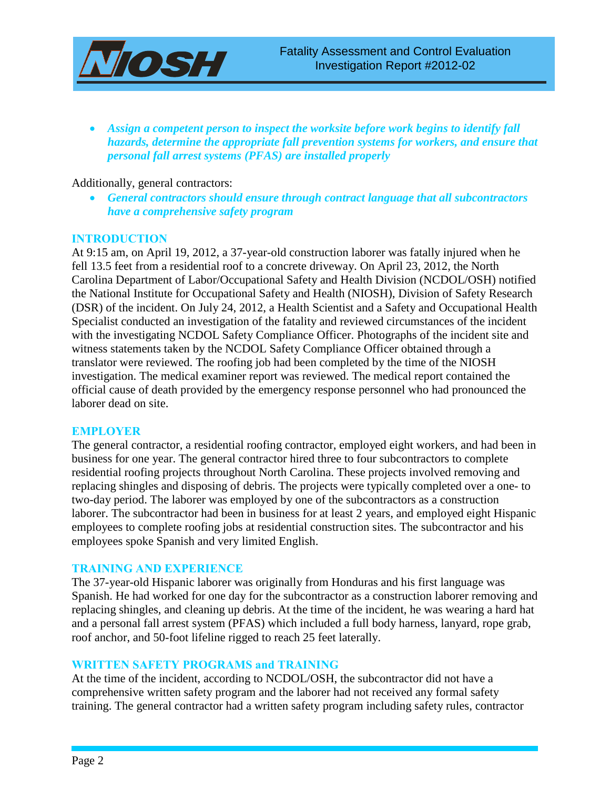

• Assign a competent person to inspect the worksite before work begins to *identify fall hazards, determine the appropriate fall prevention systems for workers, and ensure that personal fall arrest systems (PFAS) are installed properly* 

#### Additionally, general contractors:

• *General contractors should ensure through contract language that all subcontractors have a comprehensive safety program*

### **INTRODUCTION**

At 9:15 am, on April 19, 2012, a 37-year-old construction laborer was fatally injured when he fell 13.5 feet from a residential roof to a concrete driveway. On April 23, 2012, the North Carolina Department of Labor/Occupational Safety and Health Division (NCDOL/OSH) notified the National Institute for Occupational Safety and Health (NIOSH), Division of Safety Research (DSR) of the incident. On July 24, 2012, a Health Scientist and a Safety and Occupational Health Specialist conducted an investigation of the fatality and reviewed circumstances of the incident with the investigating NCDOL Safety Compliance Officer. Photographs of the incident site and witness statements taken by the NCDOL Safety Compliance Officer obtained through a translator were reviewed. The roofing job had been completed by the time of the NIOSH investigation. The medical examiner report was reviewed. The medical report contained the official cause of death provided by the emergency response personnel who had pronounced the laborer dead on site.

### **EMPLOYER**

The general contractor, a residential roofing contractor, employed eight workers, and had been in business for one year. The general contractor hired three to four subcontractors to complete residential roofing projects throughout North Carolina. These projects involved removing and replacing shingles and disposing of debris. The projects were typically completed over a one- to two-day period. The laborer was employed by one of the subcontractors as a construction laborer. The subcontractor had been in business for at least 2 years, and employed eight Hispanic employees to complete roofing jobs at residential construction sites. The subcontractor and his employees spoke Spanish and very limited English.

#### **TRAINING AND EXPERIENCE**

The 37-year-old Hispanic laborer was originally from Honduras and his first language was Spanish. He had worked for one day for the subcontractor as a construction laborer removing and replacing shingles, and cleaning up debris. At the time of the incident, he was wearing a hard hat and a personal fall arrest system (PFAS) which included a full body harness, lanyard, rope grab, roof anchor, and 50-foot lifeline rigged to reach 25 feet laterally.

### **WRITTEN SAFETY PROGRAMS and TRAINING**

At the time of the incident, according to NCDOL/OSH, the subcontractor did not have a comprehensive written safety program and the laborer had not received any formal safety training. The general contractor had a written safety program including safety rules, contractor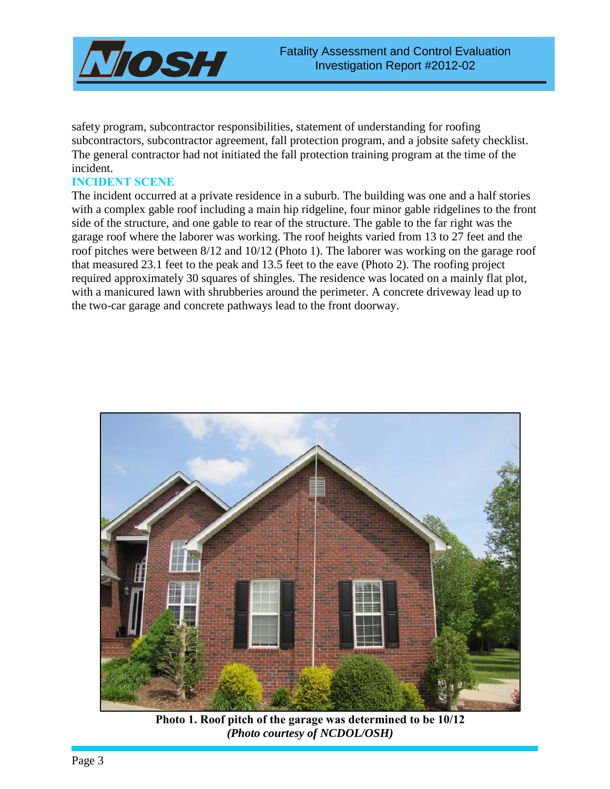

safety program, subcontractor responsibilities, statement of understanding for roofing subcontractors, subcontractor agreement, fall protection program, and a jobsite safety checklist. The general contractor had not initiated the fall protection training program at the time of the incident.

### **INCIDENT SCENE**

The incident occurred at a private residence in a suburb. The building was one and a half stories with a complex gable roof including a main hip ridgeline, four minor gable ridgelines to the front side of the structure, and one gable to rear of the structure. The gable to the far right was the garage roof where the laborer was working. The roof heights varied from 13 to 27 feet and the roof pitches were between 8/12 and 10/12 (Photo 1). The laborer was working on the garage roof that measured 23.1 feet to the peak and 13.5 feet to the eave (Photo 2). The roofing project required approximately 30 squares of shingles. The residence was located on a mainly flat plot, with a manicured lawn with shrubberies around the perimeter. A concrete driveway lead up to the two-car garage and concrete pathways lead to the front doorway.



**Photo 1. Roof pitch of the garage was determined to be 10/12**  *(Photo courtesy of NCDOL/OSH)*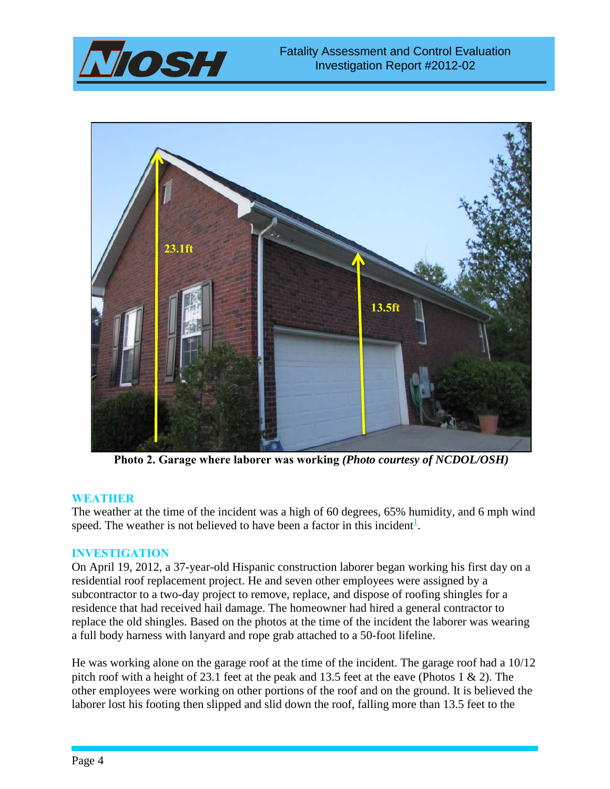



**Photo 2. Garage where laborer was working** *(Photo courtesy of NCDOL/OSH)*

### **WEATHER**

The weather at the time of the incident was a high of 60 degrees, 65% humidity, and 6 mph wind speed. The weather is not believed to have been a factor in this incident<sup>[1](#page-11-0)</sup>.

### **INVESTIGATION**

On April 19, 2012, a 37-year-old Hispanic construction laborer began working his first day on a residential roof replacement project. He and seven other employees were assigned by a subcontractor to a two-day project to remove, replace, and dispose of roofing shingles for a residence that had received hail damage. The homeowner had hired a general contractor to replace the old shingles. Based on the photos at the time of the incident the laborer was wearing a full body harness with lanyard and rope grab attached to a 50-foot lifeline.

He was working alone on the garage roof at the time of the incident. The garage roof had a 10/12 pitch roof with a height of 23.1 feet at the peak and 13.5 feet at the eave (Photos 1 & 2). The other employees were working on other portions of the roof and on the ground. It is believed the laborer lost his footing then slipped and slid down the roof, falling more than 13.5 feet to the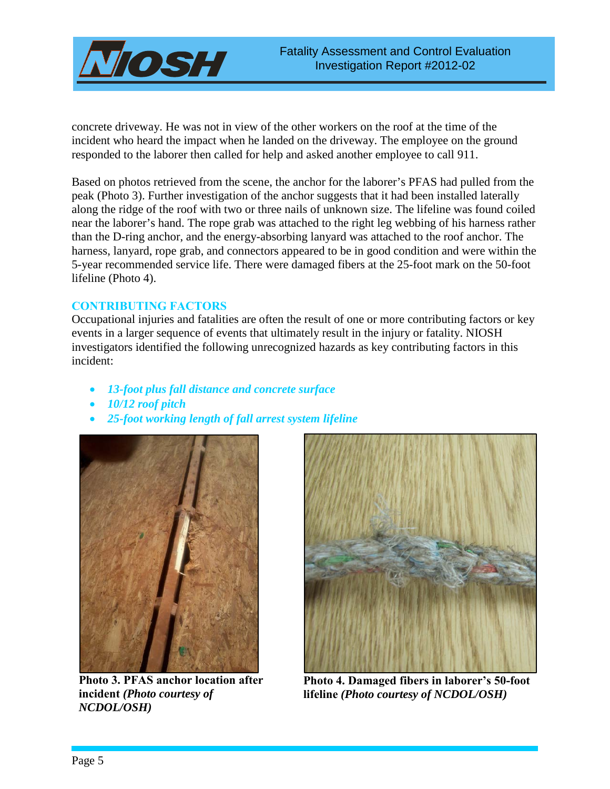

concrete driveway. He was not in view of the other workers on the roof at the time of the incident who heard the impact when he landed on the driveway. The employee on the ground responded to the laborer then called for help and asked another employee to call 911.

Based on photos retrieved from the scene, the anchor for the laborer's PFAS had pulled from the peak (Photo 3). Further investigation of the anchor suggests that it had been installed laterally along the ridge of the roof with two or three nails of unknown size. The lifeline was found coiled near the laborer's hand. The rope grab was attached to the right leg webbing of his harness rather than the D-ring anchor, and the energy-absorbing lanyard was attached to the roof anchor. The harness, lanyard, rope grab, and connectors appeared to be in good condition and were within the 5-year recommended service life. There were damaged fibers at the 25-foot mark on the 50-foot lifeline (Photo 4).

### **CONTRIBUTING FACTORS**

Occupational injuries and fatalities are often the result of one or more contributing factors or key events in a larger sequence of events that ultimately result in the injury or fatality. NIOSH investigators identified the following unrecognized hazards as key contributing factors in this incident:

- *13-foot plus fall distance and concrete surface*
- *10/12 roof pitch*
- *25-foot working length of fall arrest system lifeline*



**Photo 3. PFAS anchor location after incident** *(Photo courtesy of NCDOL/OSH)*



**Photo 4. Damaged fibers in laborer's 50-foot lifeline** *(Photo courtesy of NCDOL/OSH)*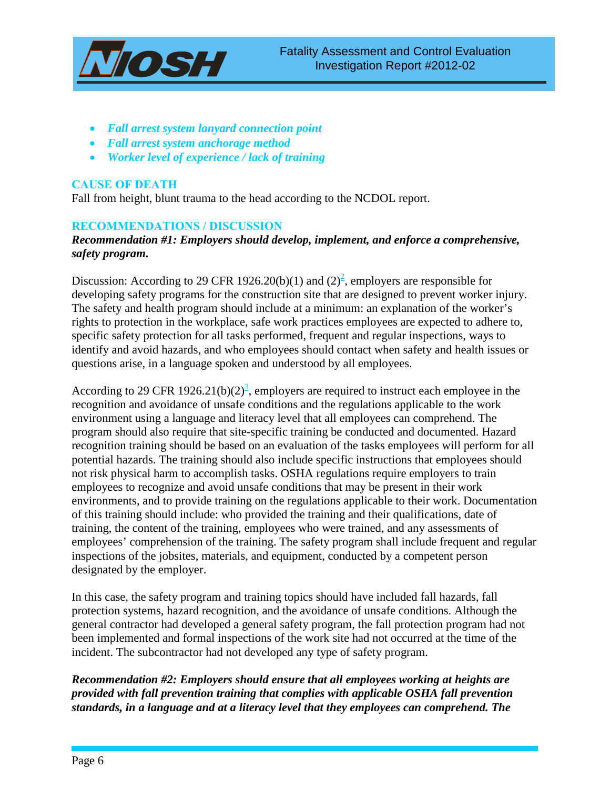

- *Fall arrest system lanyard connection point*
- *Fall arrest system anchorage method*
- *Worker level of experience / lack of training*

## **CAUSE OF DEATH**

Fall from height, blunt trauma to the head according to the NCDOL report.

## **RECOMMENDATIONS / DISCUSSION**

## *Recommendation #1: Employers should develop, implement, and enforce a comprehensive, safety program.*

Discussion: According to 29 CFR 1926.20(b)(1) and (2)<sup>2</sup>, employers are responsible for developing safety programs for the construction site that are designed to prevent worker injury. The safety and health program should include at a minimum: an explanation of the worker's rights to protection in the workplace, safe work practices employees are expected to adhere to, specific safety protection for all tasks performed, frequent and regular inspections, ways to identify and avoid hazards, and who employees should contact when safety and health issues or questions arise, in a language spoken and understood by all employees.

According to 29 CFR 1926.21(b)(2)<sup>3</sup>, employers are required to instruct each employee in the recognition and avoidance of unsafe conditions and the regulations applicable to the work environment using a language and literacy level that all employees can comprehend. The program should also require that site-specific training be conducted and documented. Hazard recognition training should be based on an evaluation of the tasks employees will perform for all potential hazards. The training should also include specific instructions that employees should not risk physical harm to accomplish tasks. OSHA regulations require employers to train employees to recognize and avoid unsafe conditions that may be present in their work environments, and to provide training on the regulations applicable to their work. Documentation of this training should include: who provided the training and their qualifications, date of training, the content of the training, employees who were trained, and any assessments of employees' comprehension of the training. The safety program shall include frequent and regular inspections of the jobsites, materials, and equipment, conducted by a competent person designated by the employer.

In this case, the safety program and training topics should have included fall hazards, fall protection systems, hazard recognition, and the avoidance of unsafe conditions. Although the general contractor had developed a general safety program, the fall protection program had not been implemented and formal inspections of the work site had not occurred at the time of the incident. The subcontractor had not developed any type of safety program.

## *Recommendation #2: Employers should ensure that all employees working at heights are provided with fall prevention training that complies with applicable OSHA fall prevention standards, in a language and at a literacy level that they employees can comprehend. The*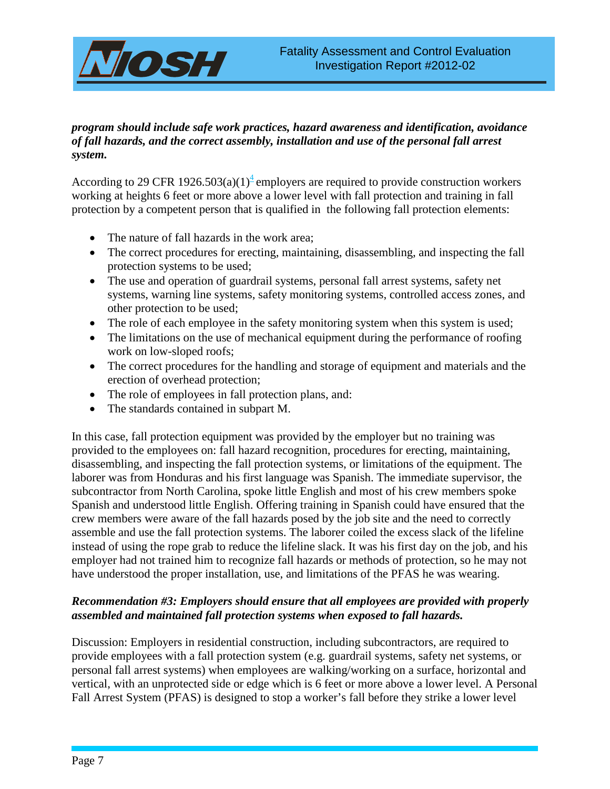

## *program should include safe work practices, hazard awareness and identification, avoidance of fall hazards, and the correct assembly, installation and use of the personal fall arrest system.*

According to 29 CFR 1926.503(a)(1)<sup>4</sup> employers are required to provide construction workers working at heights 6 feet or more above a lower level with fall protection and training in fall protection by a competent person that is qualified in the following fall protection elements:

- The nature of fall hazards in the work area;
- The correct procedures for erecting, maintaining, disassembling, and inspecting the fall protection systems to be used;
- The use and operation of guardrail systems, personal fall arrest systems, safety net systems, warning line systems, safety monitoring systems, controlled access zones, and other protection to be used;
- The role of each employee in the safety monitoring system when this system is used;
- The limitations on the use of mechanical equipment during the performance of roofing work on low-sloped roofs;
- The correct procedures for the handling and storage of equipment and materials and the erection of overhead protection;
- The role of employees in fall protection plans, and:
- The standards contained in subpart M.

In this case, fall protection equipment was provided by the employer but no training was provided to the employees on: fall hazard recognition, procedures for erecting, maintaining, disassembling, and inspecting the fall protection systems, or limitations of the equipment. The laborer was from Honduras and his first language was Spanish. The immediate supervisor, the subcontractor from North Carolina, spoke little English and most of his crew members spoke Spanish and understood little English. Offering training in Spanish could have ensured that the crew members were aware of the fall hazards posed by the job site and the need to correctly assemble and use the fall protection systems. The laborer coiled the excess slack of the lifeline instead of using the rope grab to reduce the lifeline slack. It was his first day on the job, and his employer had not trained him to recognize fall hazards or methods of protection, so he may not have understood the proper installation, use, and limitations of the PFAS he was wearing.

## *Recommendation #3: Employers should ensure that all employees are provided with properly assembled and maintained fall protection systems when exposed to fall hazards.*

Discussion: Employers in residential construction, including subcontractors, are required to provide employees with a fall protection system (e.g. guardrail systems, safety net systems, or personal fall arrest systems) when employees are walking/working on a surface, horizontal and vertical, with an unprotected side or edge which is 6 feet or more above a lower level. A Personal Fall Arrest System (PFAS) is designed to stop a worker's fall before they strike a lower level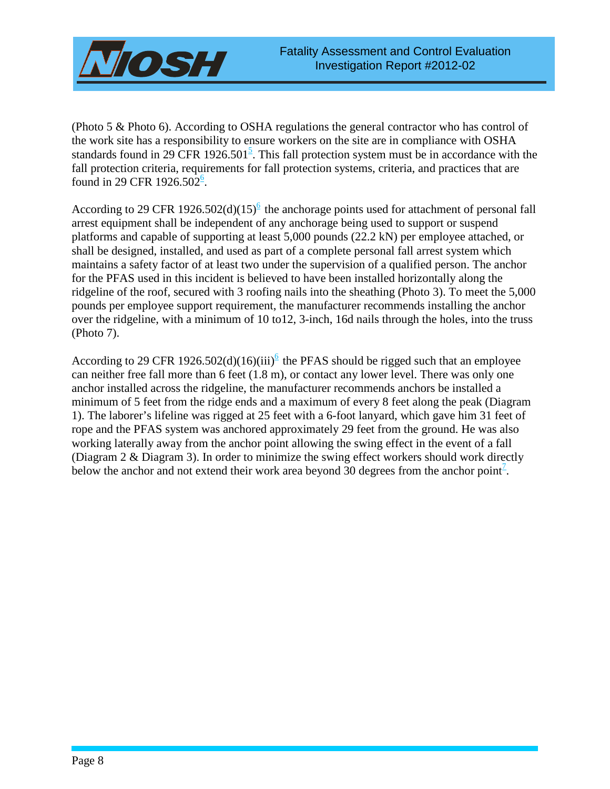

(Photo 5 & Photo 6). According to OSHA regulations the general contractor who has control of the work site has a responsibility to ensure workers on the site are in compliance with OSHA standards found in 29 CFR 1926.501<sup>5</sup>. This fall protection system must be in accordance with the fall protection criteria, requirements for fall protection systems, criteria, and practices that are found in 29 CFR 1926.50 $2^6$ .

According to 29 CFR 1926.502(d)(15)<sup>6</sup> the anchorage points used for attachment of personal fall arrest equipment shall be independent of any anchorage being used to support or suspend platforms and capable of supporting at least 5,000 pounds (22.2 kN) per employee attached, or shall be designed, installed, and used as part of a complete personal fall arrest system which maintains a safety factor of at least two under the supervision of a qualified person. The anchor for the PFAS used in this incident is believed to have been installed horizontally along the ridgeline of the roof, secured with 3 roofing nails into the sheathing (Photo 3). To meet the 5,000 pounds per employee support requirement, the manufacturer recommends installing the anchor over the ridgeline, with a minimum of 10 to12, 3-inch, 16d nails through the holes, into the truss (Photo 7).

According to 29 CFR 1926.502(d)(16)(iii)<sup>6</sup> the PFAS should be rigged such that an employee can neither free fall more than 6 feet (1.8 m), or contact any lower level. There was only one anchor installed across the ridgeline, the manufacturer recommends anchors be installed a minimum of 5 feet from the ridge ends and a maximum of every 8 feet along the peak (Diagram 1). The laborer's lifeline was rigged at 25 feet with a 6-foot lanyard, which gave him 31 feet of rope and the PFAS system was anchored approximately 29 feet from the ground. He was also working laterally away from the anchor point allowing the swing effect in the event of a fall (Diagram 2 & Diagram 3). In order to minimize the swing effect workers should work directly below the anchor and not extend their work area beyond  $30$  degrees from the anchor point<sup>7</sup>.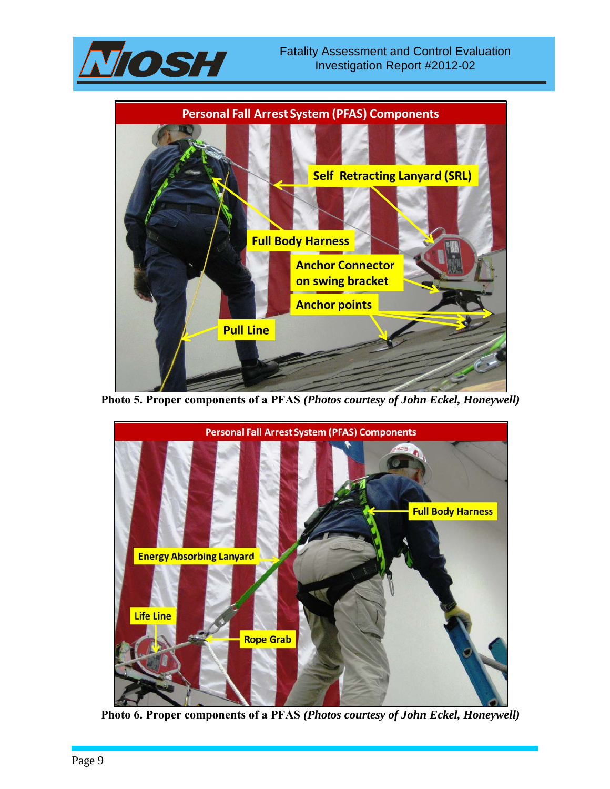



**Photo 5. Proper components of a PFAS** *(Photos courtesy of John Eckel, Honeywell)*



**Photo 6. Proper components of a PFAS** *(Photos courtesy of John Eckel, Honeywell)*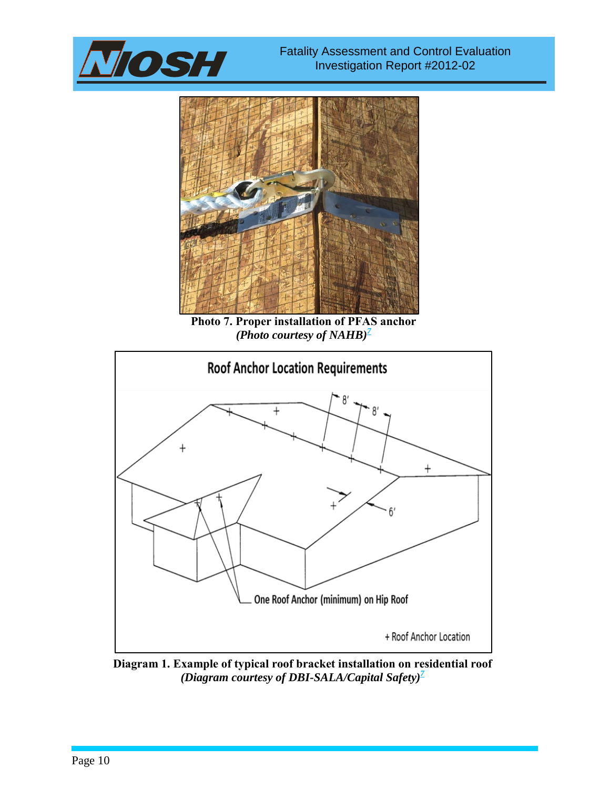



**Photo 7. Proper installation of PFAS anchor** *(Photo courtesy of NAHB)*<sup> $7$ </sup>



**Diagram 1. Example of typical roof bracket installation on residential roof** *(Diagram courtesy of DBI-SALA/Capital Safety)7*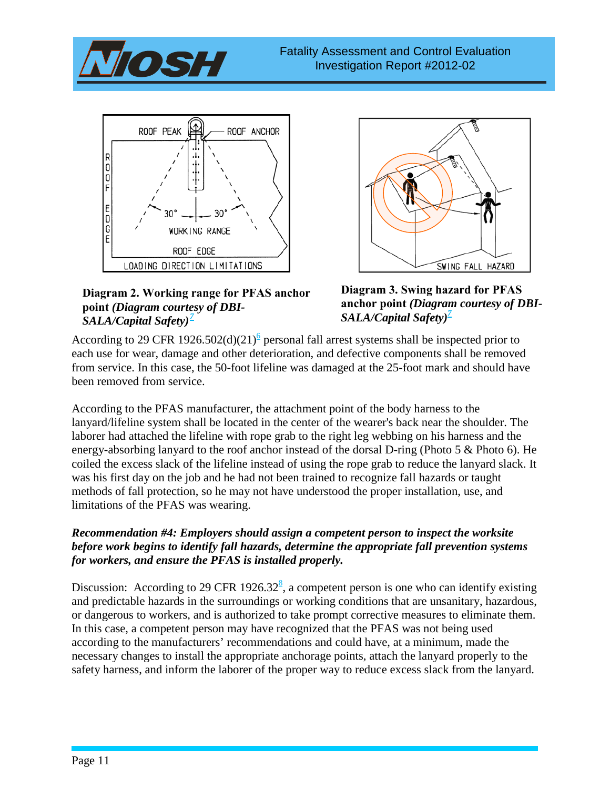





**Diagram 2. Working range for PFAS anchor point** *(Diagram courtesy of DBI-SALA/Capital Safety) 7* 

**Diagram 3. Swing hazard for PFAS anchor point** *(Diagram courtesy of DBI-SALA/Capital Safety) 7*

According to 29 CFR 1926.502(d)(21)<sup>6</sup> personal fall arrest systems shall be inspected prior to each use for wear, damage and other deterioration, and defective components shall be removed from service. In this case, the 50-foot lifeline was damaged at the 25-foot mark and should have been removed from service.

According to the PFAS manufacturer, the attachment point of the body harness to the lanyard/lifeline system shall be located in the center of the wearer's back near the shoulder. The laborer had attached the lifeline with rope grab to the right leg webbing on his harness and the energy-absorbing lanyard to the roof anchor instead of the dorsal D-ring (Photo 5 & Photo 6). He coiled the excess slack of the lifeline instead of using the rope grab to reduce the lanyard slack. It was his first day on the job and he had not been trained to recognize fall hazards or taught methods of fall protection, so he may not have understood the proper installation, use, and limitations of the PFAS was wearing.

## *Recommendation #4: Employers should assign a competent person to inspect the worksite before work begins to identify fall hazards, determine the appropriate fall prevention systems for workers, and ensure the PFAS is installed properly.*

Discussion: According to 29 CFR 1926.32<sup>8</sup>, a competent person is one who can identify existing and predictable hazards in the surroundings or working conditions that are unsanitary, hazardous, or dangerous to workers, and is authorized to take prompt corrective measures to eliminate them. In this case, a competent person may have recognized that the PFAS was not being used according to the manufacturers' recommendations and could have, at a minimum, made the necessary changes to install the appropriate anchorage points, attach the lanyard properly to the safety harness, and inform the laborer of the proper way to reduce excess slack from the lanyard.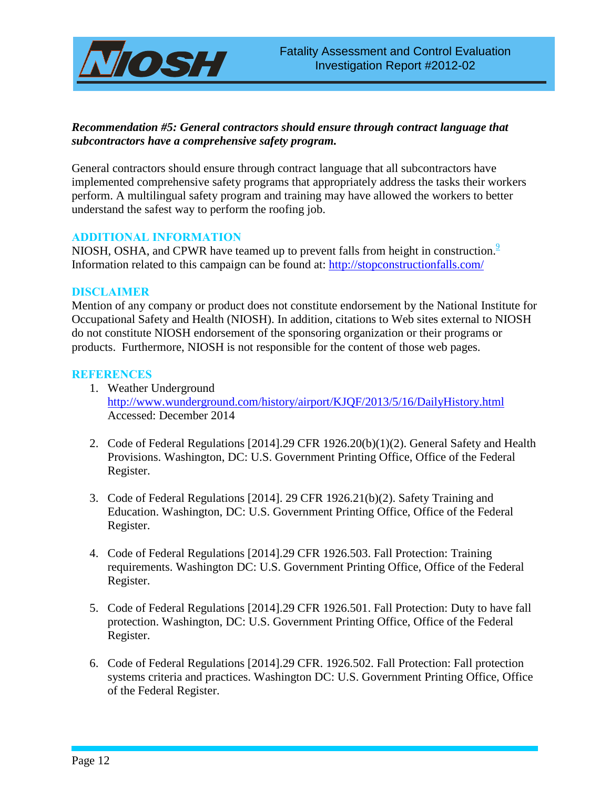

## *Recommendation #5: General contractors should ensure through contract language that subcontractors have a comprehensive safety program.*

General contractors should ensure through contract language that all subcontractors have implemented comprehensive safety programs that appropriately address the tasks their workers perform. A multilingual safety program and training may have allowed the workers to better understand the safest way to perform the roofing job.

### **ADDITIONAL INFORMATION**

NIOSH, OSHA, and CPWR have teamed up to prevent falls from height in construction.<sup>9</sup> Information related to this campaign can be found at:<http://stopconstructionfalls.com/>

#### **DISCLAIMER**

Mention of any company or product does not constitute endorsement by the National Institute for Occupational Safety and Health (NIOSH). In addition, citations to Web sites external to NIOSH do not constitute NIOSH endorsement of the sponsoring organization or their programs or products. Furthermore, NIOSH is not responsible for the content of those web pages.

#### <span id="page-11-0"></span>**REFERENCES**

- 1. Weather Underground <http://www.wunderground.com/history/airport/KJQF/2013/5/16/DailyHistory.html> Accessed: December 2014
- <span id="page-11-1"></span>2. Code of Federal Regulations [2014].29 CFR 1926.20(b)(1)(2). General Safety and Health Provisions. Washington, DC: U.S. Government Printing Office, Office of the Federal Register.
- <span id="page-11-2"></span>3. Code of Federal Regulations [2014]. 29 CFR 1926.21(b)(2). Safety Training and Education. Washington, DC: U.S. Government Printing Office, Office of the Federal Register.
- 4. Code of Federal Regulations [2014].29 CFR 1926.503. Fall Protection: Training requirements. Washington DC: U.S. Government Printing Office, Office of the Federal Register.
- 5. Code of Federal Regulations [2014].29 CFR 1926.501. Fall Protection: Duty to have fall protection. Washington, DC: U.S. Government Printing Office, Office of the Federal Register.
- 6. Code of Federal Regulations [2014].29 CFR. 1926.502. Fall Protection: Fall protection systems criteria and practices. Washington DC: U.S. Government Printing Office, Office of the Federal Register.